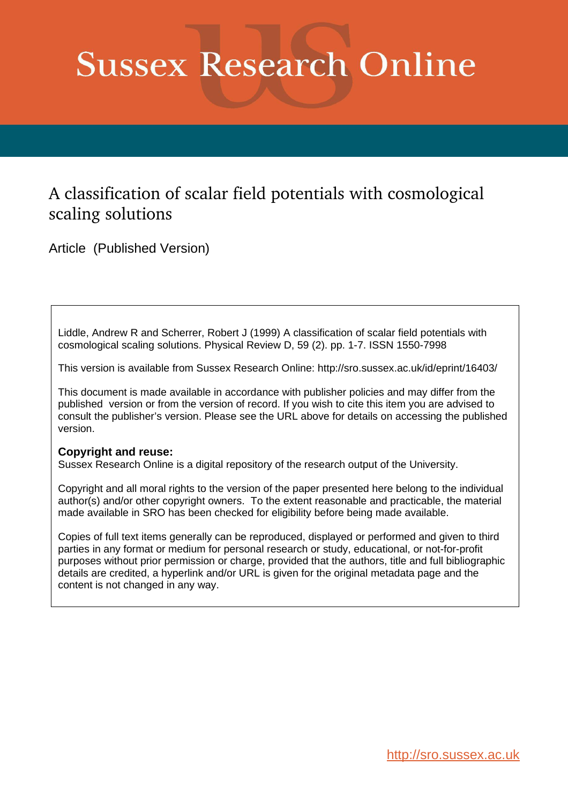# **Sussex Research Online**

## A classification of scalar field potentials with cosmological scaling solutions

Article (Published Version)

Liddle, Andrew R and Scherrer, Robert J (1999) A classification of scalar field potentials with cosmological scaling solutions. Physical Review D, 59 (2). pp. 1-7. ISSN 1550-7998

This version is available from Sussex Research Online: http://sro.sussex.ac.uk/id/eprint/16403/

This document is made available in accordance with publisher policies and may differ from the published version or from the version of record. If you wish to cite this item you are advised to consult the publisher's version. Please see the URL above for details on accessing the published version.

### **Copyright and reuse:**

Sussex Research Online is a digital repository of the research output of the University.

Copyright and all moral rights to the version of the paper presented here belong to the individual author(s) and/or other copyright owners. To the extent reasonable and practicable, the material made available in SRO has been checked for eligibility before being made available.

Copies of full text items generally can be reproduced, displayed or performed and given to third parties in any format or medium for personal research or study, educational, or not-for-profit purposes without prior permission or charge, provided that the authors, title and full bibliographic details are credited, a hyperlink and/or URL is given for the original metadata page and the content is not changed in any way.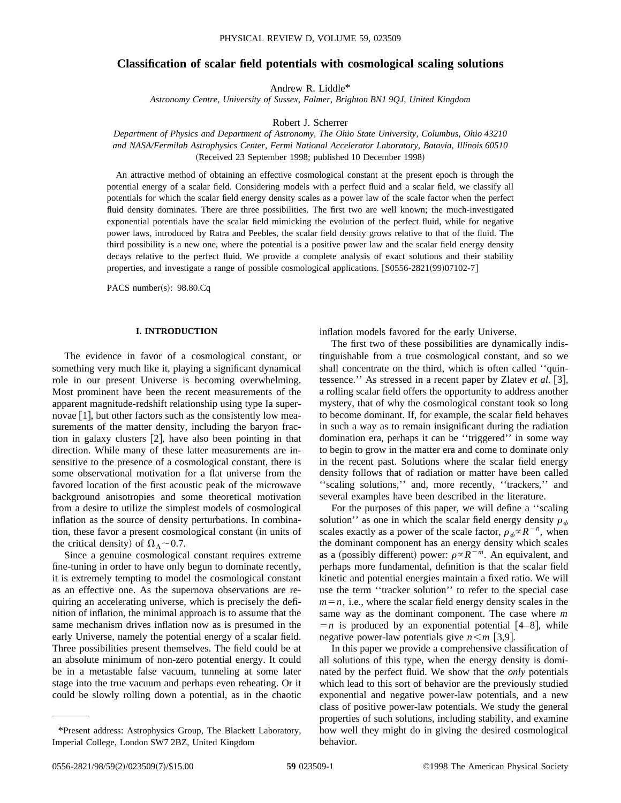#### **Classification of scalar field potentials with cosmological scaling solutions**

Andrew R. Liddle\*

*Astronomy Centre, University of Sussex, Falmer, Brighton BN1 9QJ, United Kingdom*

Robert J. Scherrer

*Department of Physics and Department of Astronomy, The Ohio State University, Columbus, Ohio 43210 and NASA/Fermilab Astrophysics Center, Fermi National Accelerator Laboratory, Batavia, Illinois 60510* (Received 23 September 1998; published 10 December 1998)

An attractive method of obtaining an effective cosmological constant at the present epoch is through the potential energy of a scalar field. Considering models with a perfect fluid and a scalar field, we classify all potentials for which the scalar field energy density scales as a power law of the scale factor when the perfect fluid density dominates. There are three possibilities. The first two are well known; the much-investigated exponential potentials have the scalar field mimicking the evolution of the perfect fluid, while for negative power laws, introduced by Ratra and Peebles, the scalar field density grows relative to that of the fluid. The third possibility is a new one, where the potential is a positive power law and the scalar field energy density decays relative to the perfect fluid. We provide a complete analysis of exact solutions and their stability properties, and investigate a range of possible cosmological applications. [S0556-2821(99)07102-7]

PACS number(s):  $98.80.Cq$ 

#### **I. INTRODUCTION**

The evidence in favor of a cosmological constant, or something very much like it, playing a significant dynamical role in our present Universe is becoming overwhelming. Most prominent have been the recent measurements of the apparent magnitude-redshift relationship using type Ia supernovae  $[1]$ , but other factors such as the consistently low measurements of the matter density, including the baryon fraction in galaxy clusters  $[2]$ , have also been pointing in that direction. While many of these latter measurements are insensitive to the presence of a cosmological constant, there is some observational motivation for a flat universe from the favored location of the first acoustic peak of the microwave background anisotropies and some theoretical motivation from a desire to utilize the simplest models of cosmological inflation as the source of density perturbations. In combination, these favor a present cosmological constant (in units of the critical density) of  $\Omega_{\Lambda}$  ~ 0.7.

Since a genuine cosmological constant requires extreme fine-tuning in order to have only begun to dominate recently, it is extremely tempting to model the cosmological constant as an effective one. As the supernova observations are requiring an accelerating universe, which is precisely the definition of inflation, the minimal approach is to assume that the same mechanism drives inflation now as is presumed in the early Universe, namely the potential energy of a scalar field. Three possibilities present themselves. The field could be at an absolute minimum of non-zero potential energy. It could be in a metastable false vacuum, tunneling at some later stage into the true vacuum and perhaps even reheating. Or it could be slowly rolling down a potential, as in the chaotic

inflation models favored for the early Universe.

The first two of these possibilities are dynamically indistinguishable from a true cosmological constant, and so we shall concentrate on the third, which is often called ''quintessence." As stressed in a recent paper by Zlatev *et al.* [3], a rolling scalar field offers the opportunity to address another mystery, that of why the cosmological constant took so long to become dominant. If, for example, the scalar field behaves in such a way as to remain insignificant during the radiation domination era, perhaps it can be ''triggered'' in some way to begin to grow in the matter era and come to dominate only in the recent past. Solutions where the scalar field energy density follows that of radiation or matter have been called ''scaling solutions,'' and, more recently, ''trackers,'' and several examples have been described in the literature.

For the purposes of this paper, we will define a ''scaling solution'' as one in which the scalar field energy density  $\rho_A$ scales exactly as a power of the scale factor,  $\rho_{\phi} \propto R^{-n}$ , when the dominant component has an energy density which scales as a (possibly different) power:  $\rho \propto R^{-m}$ . An equivalent, and perhaps more fundamental, definition is that the scalar field kinetic and potential energies maintain a fixed ratio. We will use the term ''tracker solution'' to refer to the special case  $m=n$ , i.e., where the scalar field energy density scales in the same way as the dominant component. The case where *m*  $=n$  is produced by an exponential potential  $[4-8]$ , while negative power-law potentials give  $n \le m$  [3,9].

In this paper we provide a comprehensive classification of all solutions of this type, when the energy density is dominated by the perfect fluid. We show that the *only* potentials which lead to this sort of behavior are the previously studied exponential and negative power-law potentials, and a new class of positive power-law potentials. We study the general properties of such solutions, including stability, and examine how well they might do in giving the desired cosmological behavior.

<sup>\*</sup>Present address: Astrophysics Group, The Blackett Laboratory, Imperial College, London SW7 2BZ, United Kingdom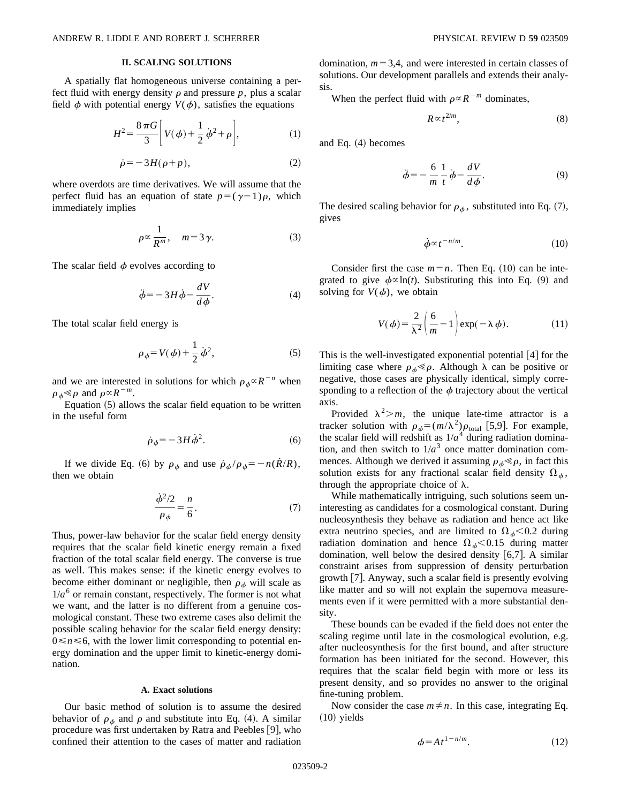#### **II. SCALING SOLUTIONS**

A spatially flat homogeneous universe containing a perfect fluid with energy density  $\rho$  and pressure  $p$ , plus a scalar field  $\phi$  with potential energy  $V(\phi)$ , satisfies the equations

$$
H^{2} = \frac{8 \pi G}{3} \bigg[ V(\phi) + \frac{1}{2} \dot{\phi}^{2} + \rho \bigg],
$$
 (1)

$$
\dot{\rho} = -3H(\rho + p),\tag{2}
$$

where overdots are time derivatives. We will assume that the perfect fluid has an equation of state  $p=(\gamma-1)\rho$ , which immediately implies

$$
\rho \propto \frac{1}{R^m}, \quad m = 3 \gamma. \tag{3}
$$

The scalar field  $\phi$  evolves according to

$$
\ddot{\phi} = -3H\dot{\phi} - \frac{dV}{d\phi}.\tag{4}
$$

The total scalar field energy is

$$
\rho_{\phi} = V(\phi) + \frac{1}{2}\dot{\phi}^2,\tag{5}
$$

and we are interested in solutions for which  $\rho_{\phi} \propto R^{-n}$  when  $\rho_A \ll \rho$  and  $\rho \propto R^{-m}$ .

Equation  $(5)$  allows the scalar field equation to be written in the useful form

$$
\dot{\rho}_{\phi} = -3H\dot{\phi}^2. \tag{6}
$$

If we divide Eq. (6) by  $\rho_{\phi}$  and use  $\dot{\rho}_{\phi}/\rho_{\phi} = -n(\dot{R}/R)$ , then we obtain

$$
\frac{\dot{\phi}^2/2}{\rho_{\phi}} = \frac{n}{6}.\tag{7}
$$

Thus, power-law behavior for the scalar field energy density requires that the scalar field kinetic energy remain a fixed fraction of the total scalar field energy. The converse is true as well. This makes sense: if the kinetic energy evolves to become either dominant or negligible, then  $\rho_{\phi}$  will scale as  $1/a<sup>6</sup>$  or remain constant, respectively. The former is not what we want, and the latter is no different from a genuine cosmological constant. These two extreme cases also delimit the possible scaling behavior for the scalar field energy density:  $0 \le n \le 6$ , with the lower limit corresponding to potential energy domination and the upper limit to kinetic-energy domination.

#### **A. Exact solutions**

Our basic method of solution is to assume the desired behavior of  $\rho_{\phi}$  and  $\rho$  and substitute into Eq. (4). A similar procedure was first undertaken by Ratra and Peebles  $[9]$ , who confined their attention to the cases of matter and radiation domination,  $m=3,4$ , and were interested in certain classes of solutions. Our development parallels and extends their analysis.

When the perfect fluid with  $\rho \propto R^{-m}$  dominates,

$$
R \propto t^{2/m},\tag{8}
$$

and Eq.  $(4)$  becomes

$$
\ddot{\phi} = -\frac{6}{m} \frac{1}{t} \dot{\phi} - \frac{dV}{d\phi}.
$$
 (9)

The desired scaling behavior for  $\rho_{\phi}$ , substituted into Eq. (7), gives

$$
\phi \propto t^{-n/m}.\tag{10}
$$

Consider first the case  $m=n$ . Then Eq. (10) can be integrated to give  $\phi \propto \ln(t)$ . Substituting this into Eq. (9) and solving for  $V(\phi)$ , we obtain

$$
V(\phi) = \frac{2}{\lambda^2} \left( \frac{6}{m} - 1 \right) \exp(-\lambda \phi).
$$
 (11)

This is the well-investigated exponential potential  $[4]$  for the limiting case where  $\rho_{\phi} \ll \rho$ . Although  $\lambda$  can be positive or negative, those cases are physically identical, simply corresponding to a reflection of the  $\phi$  trajectory about the vertical axis.

Provided  $\lambda^2 > m$ , the unique late-time attractor is a tracker solution with  $\rho_{\phi} = (m/\lambda^2)\rho_{\text{total}}$  [5,9]. For example, the scalar field will redshift as  $1/a<sup>4</sup>$  during radiation domination, and then switch to  $1/a<sup>3</sup>$  once matter domination commences. Although we derived it assuming  $\rho_{\phi} \ll \rho$ , in fact this solution exists for any fractional scalar field density  $\Omega_{\phi}$ , through the appropriate choice of  $\lambda$ .

While mathematically intriguing, such solutions seem uninteresting as candidates for a cosmological constant. During nucleosynthesis they behave as radiation and hence act like extra neutrino species, and are limited to  $\Omega_{\phi}$  < 0.2 during radiation domination and hence  $\Omega_{\phi}$ <0.15 during matter domination, well below the desired density  $[6,7]$ . A similar constraint arises from suppression of density perturbation growth  $[7]$ . Anyway, such a scalar field is presently evolving like matter and so will not explain the supernova measurements even if it were permitted with a more substantial density.

These bounds can be evaded if the field does not enter the scaling regime until late in the cosmological evolution, e.g. after nucleosynthesis for the first bound, and after structure formation has been initiated for the second. However, this requires that the scalar field begin with more or less its present density, and so provides no answer to the original fine-tuning problem.

Now consider the case  $m \neq n$ . In this case, integrating Eq.  $(10)$  yields

$$
\phi = A t^{1 - n/m}.\tag{12}
$$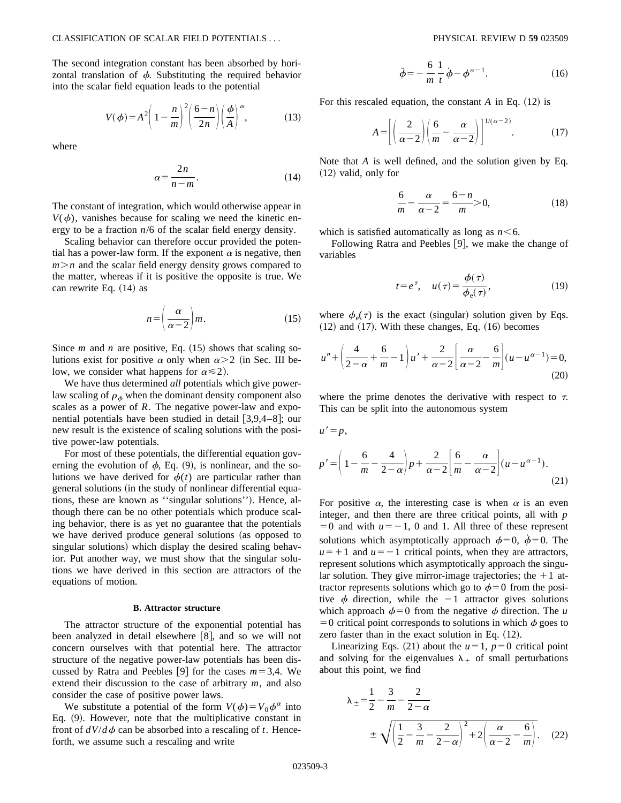The second integration constant has been absorbed by horizontal translation of  $\phi$ . Substituting the required behavior into the scalar field equation leads to the potential

$$
V(\phi) = A^2 \left( 1 - \frac{n}{m} \right)^2 \left( \frac{6-n}{2n} \right) \left( \frac{\phi}{A} \right)^{\alpha},\tag{13}
$$

where

$$
\alpha = \frac{2n}{n-m}.\tag{14}
$$

The constant of integration, which would otherwise appear in  $V(\phi)$ , vanishes because for scaling we need the kinetic energy to be a fraction *n*/6 of the scalar field energy density.

Scaling behavior can therefore occur provided the potential has a power-law form. If the exponent  $\alpha$  is negative, then  $m>n$  and the scalar field energy density grows compared to the matter, whereas if it is positive the opposite is true. We can rewrite Eq.  $(14)$  as

$$
n = \left(\frac{\alpha}{\alpha - 2}\right)m.
$$
 (15)

Since  $m$  and  $n$  are positive, Eq.  $(15)$  shows that scaling solutions exist for positive  $\alpha$  only when  $\alpha > 2$  (in Sec. III below, we consider what happens for  $\alpha \leq 2$ ).

We have thus determined *all* potentials which give powerlaw scaling of  $\rho_{\phi}$  when the dominant density component also scales as a power of *R*. The negative power-law and exponential potentials have been studied in detail  $[3,9,4-8]$ ; our new result is the existence of scaling solutions with the positive power-law potentials.

For most of these potentials, the differential equation governing the evolution of  $\phi$ , Eq. (9), is nonlinear, and the solutions we have derived for  $\phi(t)$  are particular rather than general solutions (in the study of nonlinear differential equations, these are known as "singular solutions"). Hence, although there can be no other potentials which produce scaling behavior, there is as yet no guarantee that the potentials we have derived produce general solutions (as opposed to singular solutions) which display the desired scaling behavior. Put another way, we must show that the singular solutions we have derived in this section are attractors of the equations of motion.

#### **B. Attractor structure**

The attractor structure of the exponential potential has been analyzed in detail elsewhere  $[8]$ , and so we will not concern ourselves with that potential here. The attractor structure of the negative power-law potentials has been discussed by Ratra and Peebles [9] for the cases  $m=3,4$ . We extend their discussion to the case of arbitrary *m*, and also consider the case of positive power laws.

We substitute a potential of the form  $V(\phi) = V_0 \phi^\alpha$  into Eq.  $(9)$ . However, note that the multiplicative constant in front of  $dV/d\phi$  can be absorbed into a rescaling of *t*. Henceforth, we assume such a rescaling and write

$$
\ddot{\phi} = -\frac{6}{m} \frac{1}{t} \dot{\phi} - \phi^{\alpha - 1}.
$$
 (16)

For this rescaled equation, the constant  $A$  in Eq.  $(12)$  is

$$
A = \left[ \left( \frac{2}{\alpha - 2} \right) \left( \frac{6}{m} - \frac{\alpha}{\alpha - 2} \right) \right]^{1/(\alpha - 2)}.
$$
 (17)

Note that *A* is well defined, and the solution given by Eq.  $(12)$  valid, only for

$$
\frac{6}{m} - \frac{\alpha}{\alpha - 2} = \frac{6 - n}{m} > 0,\tag{18}
$$

which is satisfied automatically as long as  $n < 6$ .

Following Ratra and Peebles  $[9]$ , we make the change of variables

$$
t = e^{\tau}, \quad u(\tau) = \frac{\phi(\tau)}{\phi_e(\tau)}, \tag{19}
$$

where  $\phi_e(\tau)$  is the exact (singular) solution given by Eqs.  $(12)$  and  $(17)$ . With these changes, Eq.  $(16)$  becomes

$$
u'' + \left(\frac{4}{2-\alpha} + \frac{6}{m} - 1\right)u' + \frac{2}{\alpha - 2} \left[\frac{\alpha}{\alpha - 2} - \frac{6}{m}\right](u - u^{\alpha - 1}) = 0,
$$
\n(20)

where the prime denotes the derivative with respect to  $\tau$ . This can be split into the autonomous system

$$
u' = p,
$$
  
\n
$$
p' = \left(1 - \frac{6}{m} - \frac{4}{2 - \alpha}\right)p + \frac{2}{\alpha - 2}\left[\frac{6}{m} - \frac{\alpha}{\alpha - 2}\right](u - u^{\alpha - 1}).
$$
\n(21)

For positive  $\alpha$ , the interesting case is when  $\alpha$  is an even integer, and then there are three critical points, all with *p*  $=0$  and with  $u=-1$ , 0 and 1. All three of these represent solutions which asymptotically approach  $\phi=0$ ,  $\dot{\phi}=0$ . The  $u=+1$  and  $u=-1$  critical points, when they are attractors, represent solutions which asymptotically approach the singular solution. They give mirror-image trajectories; the  $+1$  attractor represents solutions which go to  $\phi=0$  from the positive  $\phi$  direction, while the  $-1$  attractor gives solutions which approach  $\phi=0$  from the negative  $\phi$  direction. The *u*  $=0$  critical point corresponds to solutions in which  $\phi$  goes to zero faster than in the exact solution in Eq.  $(12)$ .

Linearizing Eqs. (21) about the  $u=1$ ,  $p=0$  critical point and solving for the eigenvalues  $\lambda_{\pm}$  of small perturbations about this point, we find

$$
\lambda_{\pm} = \frac{1}{2} - \frac{3}{m} - \frac{2}{2 - \alpha} \n\pm \sqrt{\left(\frac{1}{2} - \frac{3}{m} - \frac{2}{2 - \alpha}\right)^2 + 2\left(\frac{\alpha}{\alpha - 2} - \frac{6}{m}\right)}.
$$
 (22)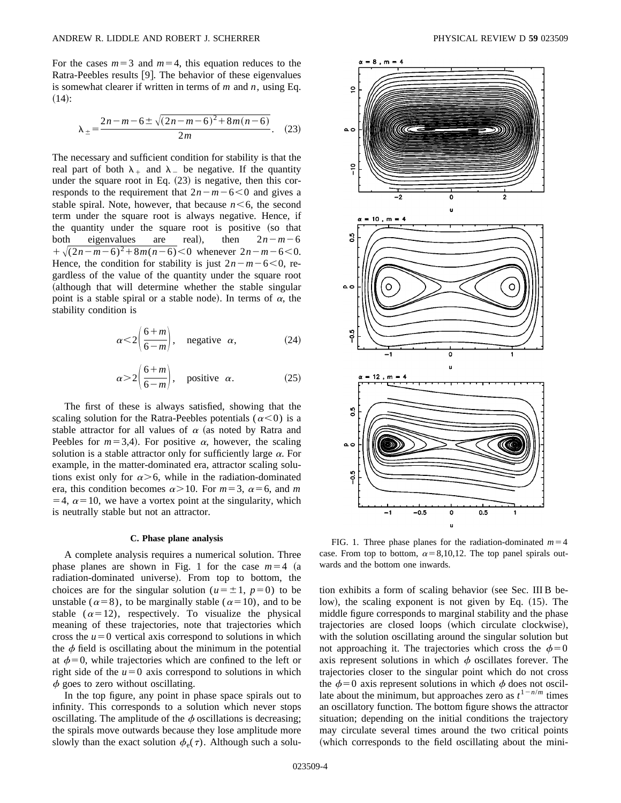For the cases  $m=3$  and  $m=4$ , this equation reduces to the Ratra-Peebles results  $[9]$ . The behavior of these eigenvalues is somewhat clearer if written in terms of *m* and *n*, using Eq.  $(14):$ 

$$
\lambda_{\pm} = \frac{2n - m - 6 \pm \sqrt{(2n - m - 6)^2 + 8m(n - 6)}}{2m}.
$$
 (23)

The necessary and sufficient condition for stability is that the real part of both  $\lambda_+$  and  $\lambda_-$  be negative. If the quantity under the square root in Eq.  $(23)$  is negative, then this corresponds to the requirement that  $2n-m-6<0$  and gives a stable spiral. Note, however, that because  $n < 6$ , the second term under the square root is always negative. Hence, if the quantity under the square root is positive (so that both eigenvalues are real), then  $2n-m-6$  $+\sqrt{(2n-m-6)^2+8m(n-6)}$  whenever  $2n-m-6$ <0. Hence, the condition for stability is just  $2n-m-6<0$ , regardless of the value of the quantity under the square root (although that will determine whether the stable singular point is a stable spiral or a stable node). In terms of  $\alpha$ , the stability condition is

$$
\alpha < 2\left(\frac{6+m}{6-m}\right), \quad \text{negative } \alpha, \tag{24}
$$

$$
\alpha > 2\left(\frac{6+m}{6-m}\right), \quad \text{positive} \quad \alpha. \tag{25}
$$

The first of these is always satisfied, showing that the scaling solution for the Ratra-Peebles potentials ( $\alpha$ <0) is a stable attractor for all values of  $\alpha$  (as noted by Ratra and Peebles for  $m=3,4$ ). For positive  $\alpha$ , however, the scaling solution is a stable attractor only for sufficiently large  $\alpha$ . For example, in the matter-dominated era, attractor scaling solutions exist only for  $\alpha > 6$ , while in the radiation-dominated era, this condition becomes  $\alpha > 10$ . For  $m=3$ ,  $\alpha = 6$ , and *m* =4,  $\alpha$ =10, we have a vortex point at the singularity, which is neutrally stable but not an attractor.

#### **C. Phase plane analysis**

A complete analysis requires a numerical solution. Three phase planes are shown in Fig. 1 for the case  $m=4$  (a radiation-dominated universe). From top to bottom, the choices are for the singular solution ( $u=\pm 1$ ,  $p=0$ ) to be unstable ( $\alpha=8$ ), to be marginally stable ( $\alpha=10$ ), and to be stable  $(\alpha=12)$ , respectively. To visualize the physical meaning of these trajectories, note that trajectories which cross the  $u=0$  vertical axis correspond to solutions in which the  $\phi$  field is oscillating about the minimum in the potential at  $\phi=0$ , while trajectories which are confined to the left or right side of the  $u=0$  axis correspond to solutions in which  $\phi$  goes to zero without oscillating.

In the top figure, any point in phase space spirals out to infinity. This corresponds to a solution which never stops oscillating. The amplitude of the  $\phi$  oscillations is decreasing; the spirals move outwards because they lose amplitude more slowly than the exact solution  $\phi_e(\tau)$ . Although such a solu-



FIG. 1. Three phase planes for the radiation-dominated  $m=4$ case. From top to bottom,  $\alpha = 8,10,12$ . The top panel spirals outwards and the bottom one inwards.

tion exhibits a form of scaling behavior (see Sec. III B below), the scaling exponent is not given by Eq.  $(15)$ . The middle figure corresponds to marginal stability and the phase trajectories are closed loops (which circulate clockwise), with the solution oscillating around the singular solution but not approaching it. The trajectories which cross the  $\phi=0$ axis represent solutions in which  $\phi$  oscillates forever. The trajectories closer to the singular point which do not cross the  $\phi=0$  axis represent solutions in which  $\phi$  does not oscillate about the minimum, but approaches zero as  $t^{1-n/m}$  times an oscillatory function. The bottom figure shows the attractor situation; depending on the initial conditions the trajectory may circulate several times around the two critical points (which corresponds to the field oscillating about the mini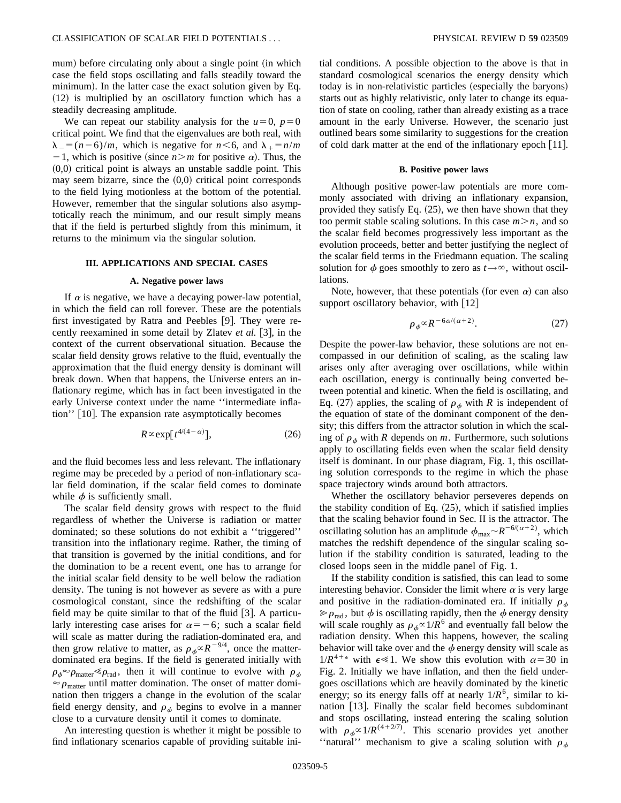mum) before circulating only about a single point (in which case the field stops oscillating and falls steadily toward the minimum). In the latter case the exact solution given by Eq.  $(12)$  is multiplied by an oscillatory function which has a steadily decreasing amplitude.

We can repeat our stability analysis for the  $u=0$ ,  $p=0$ critical point. We find that the eigenvalues are both real, with  $\lambda_{-} = (n-6)/m$ , which is negative for  $n < 6$ , and  $\lambda_{+} = n/m$  $-1$ , which is positive (since  $n>m$  for positive  $\alpha$ ). Thus, the  $(0,0)$  critical point is always an unstable saddle point. This may seem bizarre, since the  $(0,0)$  critical point corresponds to the field lying motionless at the bottom of the potential. However, remember that the singular solutions also asymptotically reach the minimum, and our result simply means that if the field is perturbed slightly from this minimum, it returns to the minimum via the singular solution.

#### **III. APPLICATIONS AND SPECIAL CASES**

#### **A. Negative power laws**

If  $\alpha$  is negative, we have a decaying power-law potential, in which the field can roll forever. These are the potentials first investigated by Ratra and Peebles  $[9]$ . They were recently reexamined in some detail by Zlatev *et al.* [3], in the context of the current observational situation. Because the scalar field density grows relative to the fluid, eventually the approximation that the fluid energy density is dominant will break down. When that happens, the Universe enters an inflationary regime, which has in fact been investigated in the early Universe context under the name ''intermediate inflation''  $|10|$ . The expansion rate asymptotically becomes

$$
R \propto \exp[t^{4/(4-\alpha)}],\tag{26}
$$

and the fluid becomes less and less relevant. The inflationary regime may be preceded by a period of non-inflationary scalar field domination, if the scalar field comes to dominate while  $\phi$  is sufficiently small.

The scalar field density grows with respect to the fluid regardless of whether the Universe is radiation or matter dominated; so these solutions do not exhibit a ''triggered'' transition into the inflationary regime. Rather, the timing of that transition is governed by the initial conditions, and for the domination to be a recent event, one has to arrange for the initial scalar field density to be well below the radiation density. The tuning is not however as severe as with a pure cosmological constant, since the redshifting of the scalar field may be quite similar to that of the fluid  $\lceil 3 \rceil$ . A particularly interesting case arises for  $\alpha = -6$ ; such a scalar field will scale as matter during the radiation-dominated era, and then grow relative to matter, as  $\rho_{\phi} \propto R^{-9/4}$ , once the matterdominated era begins. If the field is generated initially with  $\rho_{\phi} \approx \rho_{\text{matter}} \ll \rho_{\text{rad}}$ , then it will continue to evolve with  $\rho_{\phi}$  $\approx \rho_{\text{matter}}$  until matter domination. The onset of matter domination then triggers a change in the evolution of the scalar field energy density, and  $\rho_{\phi}$  begins to evolve in a manner close to a curvature density until it comes to dominate.

An interesting question is whether it might be possible to find inflationary scenarios capable of providing suitable initial conditions. A possible objection to the above is that in standard cosmological scenarios the energy density which today is in non-relativistic particles (especially the baryons) starts out as highly relativistic, only later to change its equation of state on cooling, rather than already existing as a trace amount in the early Universe. However, the scenario just outlined bears some similarity to suggestions for the creation of cold dark matter at the end of the inflationary epoch  $[11]$ .

#### **B. Positive power laws**

Although positive power-law potentials are more commonly associated with driving an inflationary expansion, provided they satisfy Eq.  $(25)$ , we then have shown that they too permit stable scaling solutions. In this case  $m > n$ , and so the scalar field becomes progressively less important as the evolution proceeds, better and better justifying the neglect of the scalar field terms in the Friedmann equation. The scaling solution for  $\phi$  goes smoothly to zero as  $t \rightarrow \infty$ , without oscillations.

Note, however, that these potentials (for even  $\alpha$ ) can also support oscillatory behavior, with  $[12]$ 

$$
\rho_{\phi} \propto R^{-6\alpha/(\alpha+2)}.
$$
 (27)

Despite the power-law behavior, these solutions are not encompassed in our definition of scaling, as the scaling law arises only after averaging over oscillations, while within each oscillation, energy is continually being converted between potential and kinetic. When the field is oscillating, and Eq. (27) applies, the scaling of  $\rho_{\phi}$  with *R* is independent of the equation of state of the dominant component of the density; this differs from the attractor solution in which the scaling of  $\rho_{\phi}$  with *R* depends on *m*. Furthermore, such solutions apply to oscillating fields even when the scalar field density itself is dominant. In our phase diagram, Fig. 1, this oscillating solution corresponds to the regime in which the phase space trajectory winds around both attractors.

Whether the oscillatory behavior perseveres depends on the stability condition of Eq.  $(25)$ , which if satisfied implies that the scaling behavior found in Sec. II is the attractor. The oscillating solution has an amplitude  $\phi_{\text{max}} \sim R^{-6/(\alpha+2)}$ , which matches the redshift dependence of the singular scaling solution if the stability condition is saturated, leading to the closed loops seen in the middle panel of Fig. 1.

If the stability condition is satisfied, this can lead to some interesting behavior. Consider the limit where  $\alpha$  is very large and positive in the radiation-dominated era. If initially  $\rho_{\phi}$  $\gg \rho_{\text{rad}}$ , but  $\phi$  is oscillating rapidly, then the  $\phi$  energy density will scale roughly as  $\rho_{\phi} \propto 1/R^6$  and eventually fall below the radiation density. When this happens, however, the scaling behavior will take over and the  $\phi$  energy density will scale as  $1/R^{4+\epsilon}$  with  $\epsilon \ll 1$ . We show this evolution with  $\alpha = 30$  in Fig. 2. Initially we have inflation, and then the field undergoes oscillations which are heavily dominated by the kinetic energy; so its energy falls off at nearly  $1/R<sup>6</sup>$ , similar to kination [13]. Finally the scalar field becomes subdominant and stops oscillating, instead entering the scaling solution with  $\rho_{\phi} \propto 1/R^{(4+2/7)}$ . This scenario provides yet another "natural" mechanism to give a scaling solution with  $\rho_{\phi}$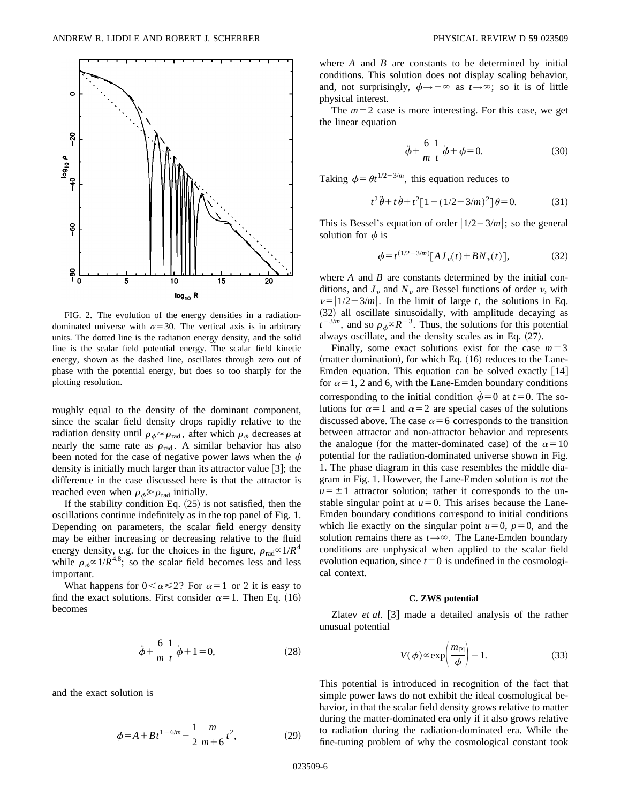

FIG. 2. The evolution of the energy densities in a radiationdominated universe with  $\alpha$ =30. The vertical axis is in arbitrary units. The dotted line is the radiation energy density, and the solid line is the scalar field potential energy. The scalar field kinetic energy, shown as the dashed line, oscillates through zero out of phase with the potential energy, but does so too sharply for the plotting resolution.

roughly equal to the density of the dominant component, since the scalar field density drops rapidly relative to the radiation density until  $\rho_{\phi} \approx \rho_{\text{rad}}$ , after which  $\rho_{\phi}$  decreases at nearly the same rate as  $\rho_{rad}$ . A similar behavior has also been noted for the case of negative power laws when the  $\phi$ density is initially much larger than its attractor value  $[3]$ ; the difference in the case discussed here is that the attractor is reached even when  $\rho_{\phi} \gg \rho_{\text{rad}}$  initially.

If the stability condition Eq.  $(25)$  is not satisfied, then the oscillations continue indefinitely as in the top panel of Fig. 1. Depending on parameters, the scalar field energy density may be either increasing or decreasing relative to the fluid energy density, e.g. for the choices in the figure,  $\rho_{rad} \propto 1/R^4$ while  $\rho_{\phi} \propto 1/R^{4.8}$ ; so the scalar field becomes less and less important.

What happens for  $0<\alpha \leq 2$ ? For  $\alpha=1$  or 2 it is easy to find the exact solutions. First consider  $\alpha=1$ . Then Eq. (16) becomes

$$
\ddot{\phi} + \frac{6}{m} \frac{1}{t} \dot{\phi} + 1 = 0, \tag{28}
$$

and the exact solution is

$$
\phi = A + Bt^{1-6/m} - \frac{1}{2} \frac{m}{m+6} t^2, \tag{29}
$$

where *A* and *B* are constants to be determined by initial conditions. This solution does not display scaling behavior, and, not surprisingly,  $\phi \rightarrow -\infty$  as  $t \rightarrow \infty$ ; so it is of little physical interest.

The  $m=2$  case is more interesting. For this case, we get the linear equation

$$
\ddot{\phi} + \frac{6}{m} \frac{1}{t} \dot{\phi} + \phi = 0.
$$
 (30)

Taking  $\phi = \theta t^{1/2 - 3/m}$ , this equation reduces to

$$
t^2\ddot{\theta} + t\dot{\theta} + t^2[1 - (1/2 - 3/m)^2]\theta = 0.
$$
 (31)

This is Bessel's equation of order  $|1/2-3/m|$ ; so the general solution for  $\phi$  is

$$
\phi = t^{(1/2 - 3/m)} [A J_{\nu}(t) + B N_{\nu}(t)],\tag{32}
$$

where *A* and *B* are constants determined by the initial conditions, and  $J_{\nu}$  and  $N_{\nu}$  are Bessel functions of order  $\nu$ , with  $\nu = |1/2-3/m|$ . In the limit of large *t*, the solutions in Eq. (32) all oscillate sinusoidally, with amplitude decaying as  $t^{-3/m}$ , and so  $\rho_{\phi} \propto R^{-3}$ . Thus, the solutions for this potential always oscillate, and the density scales as in Eq.  $(27)$ .

Finally, some exact solutions exist for the case  $m=3$  $($ matter domination $)$ , for which Eq.  $(16)$  reduces to the Lane-Emden equation. This equation can be solved exactly  $[14]$ for  $\alpha=1$ , 2 and 6, with the Lane-Emden boundary conditions corresponding to the initial condition  $\dot{\phi} = 0$  at  $t = 0$ . The solutions for  $\alpha=1$  and  $\alpha=2$  are special cases of the solutions discussed above. The case  $\alpha=6$  corresponds to the transition between attractor and non-attractor behavior and represents the analogue (for the matter-dominated case) of the  $\alpha=10$ potential for the radiation-dominated universe shown in Fig. 1. The phase diagram in this case resembles the middle diagram in Fig. 1. However, the Lane-Emden solution is *not* the  $u=\pm 1$  attractor solution; rather it corresponds to the unstable singular point at  $u=0$ . This arises because the Lane-Emden boundary conditions correspond to initial conditions which lie exactly on the singular point  $u=0$ ,  $p=0$ , and the solution remains there as  $t \rightarrow \infty$ . The Lane-Emden boundary conditions are unphysical when applied to the scalar field evolution equation, since  $t=0$  is undefined in the cosmological context.

#### **C. ZWS potential**

Zlatev *et al.* [3] made a detailed analysis of the rather unusual potential

$$
V(\phi) \propto \exp\left(\frac{m_{\rm Pl}}{\phi}\right) - 1. \tag{33}
$$

This potential is introduced in recognition of the fact that simple power laws do not exhibit the ideal cosmological behavior, in that the scalar field density grows relative to matter during the matter-dominated era only if it also grows relative to radiation during the radiation-dominated era. While the fine-tuning problem of why the cosmological constant took